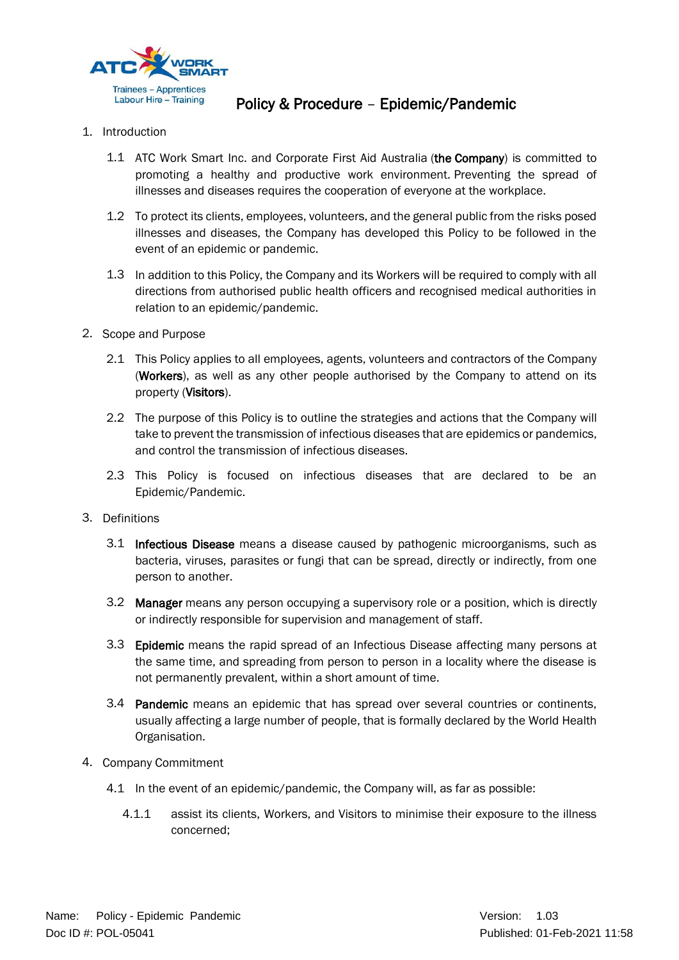

## Policy & Procedure – Epidemic/Pandemic

- 1. Introduction
	- 1.1 ATC Work Smart Inc. and Corporate First Aid Australia (the Company) is committed to promoting a healthy and productive work environment. Preventing the spread of illnesses and diseases requires the cooperation of everyone at the workplace.
	- 1.2 To protect its clients, employees, volunteers, and the general public from the risks posed illnesses and diseases, the Company has developed this Policy to be followed in the event of an epidemic or pandemic.
	- 1.3 In addition to this Policy, the Company and its Workers will be required to comply with all directions from authorised public health officers and recognised medical authorities in relation to an epidemic/pandemic.
- 2. Scope and Purpose
	- 2.1 This Policy applies to all employees, agents, volunteers and contractors of the Company (Workers), as well as any other people authorised by the Company to attend on its property (Visitors).
	- 2.2 The purpose of this Policy is to outline the strategies and actions that the Company will take to prevent the transmission of infectious diseases that are epidemics or pandemics, and control the transmission of infectious diseases.
	- 2.3 This Policy is focused on infectious diseases that are declared to be an Epidemic/Pandemic.
- 3. Definitions
	- 3.1 Infectious Disease means a disease caused by pathogenic microorganisms, such as bacteria, viruses, parasites or fungi that can be spread, directly or indirectly, from one person to another.
	- 3.2 Manager means any person occupying a supervisory role or a position, which is directly or indirectly responsible for supervision and management of staff.
	- 3.3 Epidemic means the rapid spread of an Infectious Disease affecting many persons at the same time, and spreading from person to person in a locality where the disease is not permanently prevalent, within a short amount of time.
	- 3.4 Pandemic means an epidemic that has spread over several countries or continents, usually affecting a large number of people, that is formally declared by the World Health Organisation.
- 4. Company Commitment
	- 4.1 In the event of an epidemic/pandemic, the Company will, as far as possible:
		- 4.1.1 assist its clients, Workers, and Visitors to minimise their exposure to the illness concerned;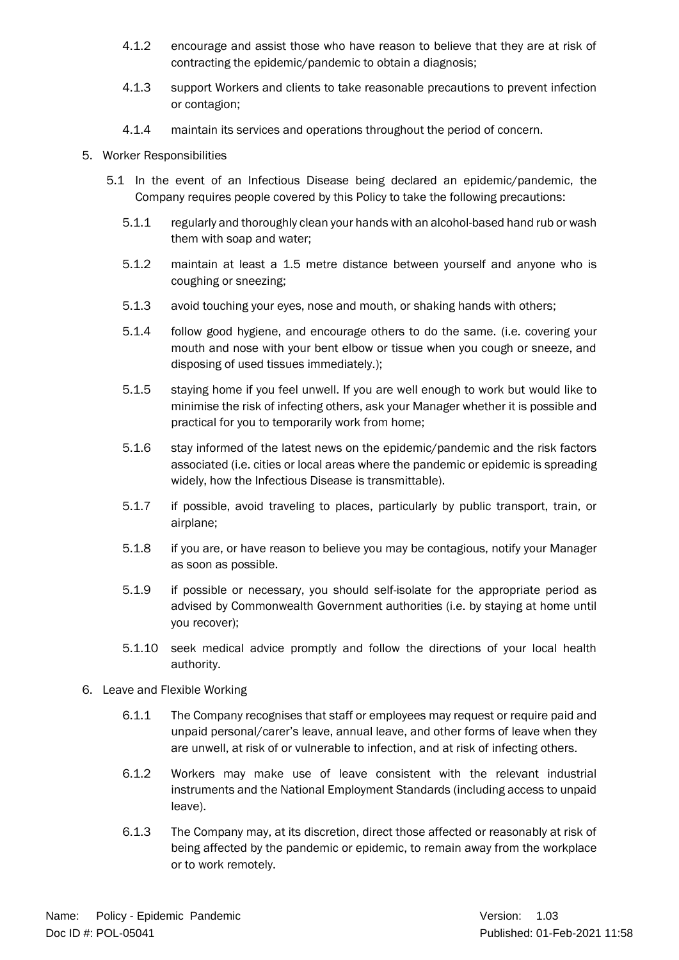- 4.1.2 encourage and assist those who have reason to believe that they are at risk of contracting the epidemic/pandemic to obtain a diagnosis;
- 4.1.3 support Workers and clients to take reasonable precautions to prevent infection or contagion;
- 4.1.4 maintain its services and operations throughout the period of concern.
- 5. Worker Responsibilities
	- 5.1 In the event of an Infectious Disease being declared an epidemic/pandemic, the Company requires people covered by this Policy to take the following precautions:
		- 5.1.1 regularly and thoroughly clean your hands with an alcohol-based hand rub or wash them with soap and water;
		- 5.1.2 maintain at least a 1.5 metre distance between yourself and anyone who is coughing or sneezing;
		- 5.1.3 avoid touching your eyes, nose and mouth, or shaking hands with others;
		- 5.1.4 follow good hygiene, and encourage others to do the same. (i.e. covering your mouth and nose with your bent elbow or tissue when you cough or sneeze, and disposing of used tissues immediately.);
		- 5.1.5 staying home if you feel unwell. If you are well enough to work but would like to minimise the risk of infecting others, ask your Manager whether it is possible and practical for you to temporarily work from home;
		- 5.1.6 stay informed of the latest news on the epidemic/pandemic and the risk factors associated (i.e. cities or local areas where the pandemic or epidemic is spreading widely, how the Infectious Disease is transmittable).
		- 5.1.7 if possible, avoid traveling to places, particularly by public transport, train, or airplane;
		- 5.1.8 if you are, or have reason to believe you may be contagious, notify your Manager as soon as possible.
		- 5.1.9 if possible or necessary, you should self-isolate for the appropriate period as advised by Commonwealth Government authorities (i.e. by staying at home until you recover);
		- 5.1.10 seek medical advice promptly and follow the directions of your local health authority.
- 6. Leave and Flexible Working
	- 6.1.1 The Company recognises that staff or employees may request or require paid and unpaid personal/carer's leave, annual leave, and other forms of leave when they are unwell, at risk of or vulnerable to infection, and at risk of infecting others.
	- 6.1.2 Workers may make use of leave consistent with the relevant industrial instruments and the National Employment Standards (including access to unpaid leave).
	- 6.1.3 The Company may, at its discretion, direct those affected or reasonably at risk of being affected by the pandemic or epidemic, to remain away from the workplace or to work remotely.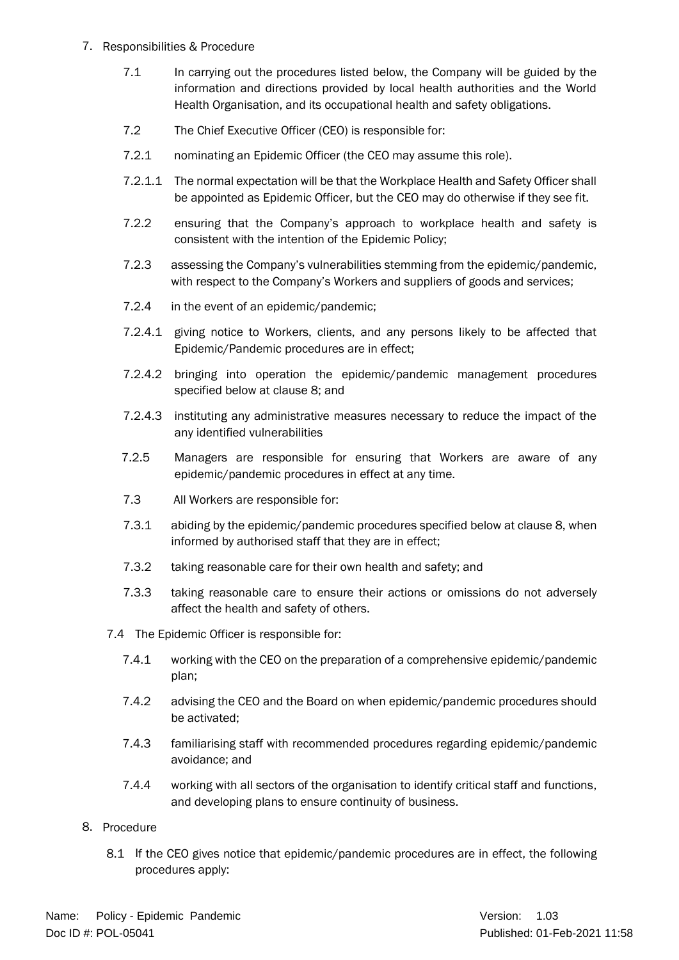- 7. Responsibilities & Procedure
	- 7.1 In carrying out the procedures listed below, the Company will be guided by the information and directions provided by local health authorities and the World Health Organisation, and its occupational health and safety obligations.
	- 7.2 The Chief Executive Officer (CEO) is responsible for:
	- 7.2.1 nominating an Epidemic Officer (the CEO may assume this role).
	- 7.2.1.1 The normal expectation will be that the Workplace Health and Safety Officer shall be appointed as Epidemic Officer, but the CEO may do otherwise if they see fit.
	- 7.2.2 ensuring that the Company's approach to workplace health and safety is consistent with the intention of the Epidemic Policy;
	- 7.2.3 assessing the Company's vulnerabilities stemming from the epidemic/pandemic, with respect to the Company's Workers and suppliers of goods and services;
	- 7.2.4 in the event of an epidemic/pandemic;
	- 7.2.4.1 giving notice to Workers, clients, and any persons likely to be affected that Epidemic/Pandemic procedures are in effect;
	- 7.2.4.2 bringing into operation the epidemic/pandemic management procedures specified below at clause [8;](#page-2-0) and
	- 7.2.4.3 instituting any administrative measures necessary to reduce the impact of the any identified vulnerabilities
	- 7.2.5 Managers are responsible for ensuring that Workers are aware of any epidemic/pandemic procedures in effect at any time.
	- 7.3 All Workers are responsible for:
	- 7.3.1 abiding by the epidemic/pandemic procedures specified below at claus[e 8,](#page-2-0) when informed by authorised staff that they are in effect;
	- 7.3.2 taking reasonable care for their own health and safety; and
	- 7.3.3 taking reasonable care to ensure their actions or omissions do not adversely affect the health and safety of others.
	- 7.4 The Epidemic Officer is responsible for:
		- 7.4.1 working with the CEO on the preparation of a comprehensive epidemic/pandemic plan;
		- 7.4.2 advising the CEO and the Board on when epidemic/pandemic procedures should be activated;
		- 7.4.3 familiarising staff with recommended procedures regarding epidemic/pandemic avoidance; and
		- 7.4.4 working with all sectors of the organisation to identify critical staff and functions, and developing plans to ensure continuity of business.
- <span id="page-2-0"></span>8. Procedure
	- 8.1 If the CEO gives notice that epidemic/pandemic procedures are in effect, the following procedures apply: